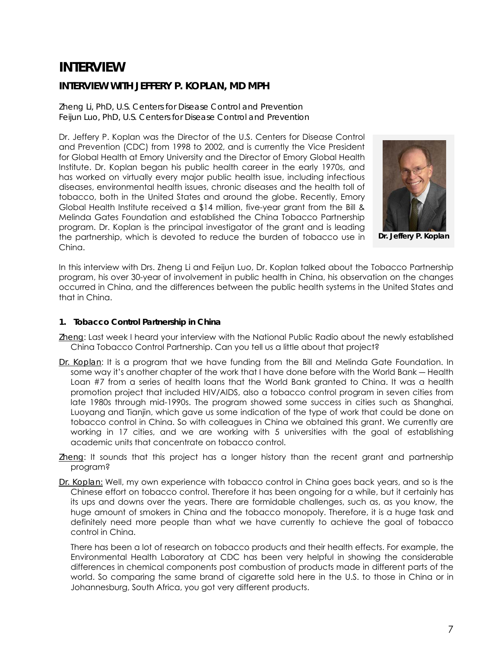# **INTERVIEW**

## **INTERVIEW WITH JEFFERY P. KOPLAN, MD MPH**

*Zheng Li, PhD, U.S. Centers for Disease Control and Prevention Feijun Luo, PhD, U.S. Centers for Disease Control and Prevention* 

Dr. Jeffery P. Koplan was the Director of the U.S. Centers for Disease Control and Prevention (CDC) from 1998 to 2002, and is currently the Vice President for Global Health at Emory University and the Director of Emory Global Health Institute. Dr. Koplan began his public health career in the early 1970s, and has worked on virtually every major public health issue, including infectious diseases, environmental health issues, chronic diseases and the health toll of tobacco, both in the United States and around the globe. Recently, Emory Global Health Institute received a \$14 million, five-year grant from the Bill & Melinda Gates Foundation and established the China Tobacco Partnership program. Dr. Koplan is the principal investigator of the grant and is leading the partnership, which is devoted to reduce the burden of tobacco use in China.



**Dr. Jeffery P. Koplan** 

In this interview with Drs. Zheng Li and Feijun Luo, Dr. Koplan talked about the Tobacco Partnership program, his over 30-year of involvement in public health in China, his observation on the changes occurred in China, and the differences between the public health systems in the United States and that in China.

### **1. Tobacco Control Partnership in China**

- *Zheng*: Last week I heard your interview with the National Public Radio about the newly established China Tobacco Control Partnership. Can you tell us a little about that project?
- *Dr. Koplan*: It is a program that we have funding from the Bill and Melinda Gate Foundation. In some way it's another chapter of the work that I have done before with the World Bank ― Health Loan #7 from a series of health loans that the World Bank granted to China. It was a health promotion project that included HIV/AIDS, also a tobacco control program in seven cities from late 1980s through mid-1990s. The program showed some success in cities such as Shanghai, Luoyang and Tianjin, which gave us some indication of the type of work that could be done on tobacco control in China. So with colleagues in China we obtained this grant. We currently are working in 17 cities, and we are working with 5 universities with the goal of establishing academic units that concentrate on tobacco control.
- *Zheng*: It sounds that this project has a longer history than the recent grant and partnership program?
- *Dr. Koplan:* Well, my own experience with tobacco control in China goes back years, and so is the Chinese effort on tobacco control. Therefore it has been ongoing for a while, but it certainly has its ups and downs over the years. There are formidable challenges, such as, as you know, the huge amount of smokers in China and the tobacco monopoly. Therefore, it is a huge task and definitely need more people than what we have currently to achieve the goal of tobacco control in China.

There has been a lot of research on tobacco products and their health effects. For example, the Environmental Health Laboratory at CDC has been very helpful in showing the considerable differences in chemical components post combustion of products made in different parts of the world. So comparing the same brand of cigarette sold here in the U.S. to those in China or in Johannesburg, South Africa, you got very different products.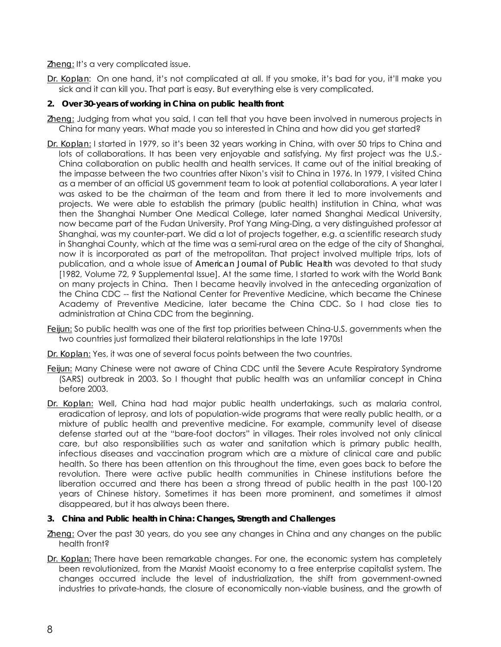*Zheng:* It's a very complicated issue.

*Dr. Koplan*: On one hand, it's not complicated at all. If you smoke, it's bad for you, it'll make you sick and it can kill you. That part is easy. But everything else is very complicated.

## **2. Over 30-years of working in China on public health front**

- *Zheng:* Judging from what you said, I can tell that you have been involved in numerous projects in China for many years. What made you so interested in China and how did you get started?
- *Dr. Koplan:* I started in 1979, so it's been 32 years working in China, with over 50 trips to China and lots of collaborations. It has been very enjoyable and satisfying. My first project was the U.S.- China collaboration on public health and health services. It came out of the initial breaking of the impasse between the two countries after Nixon's visit to China in 1976. In 1979, I visited China as a member of an official US government team to look at potential collaborations. A year later I was asked to be the chairman of the team and from there it led to more involvements and projects. We were able to establish the primary (public health) institution in China, what was then the Shanghai Number One Medical College, later named Shanghai Medical University, now became part of the Fudan University. Prof Yang Ming-Ding, a very distinguished professor at Shanghai, was my counter-part. We did a lot of projects together, e.g. a scientific research study in Shanghai County, which at the time was a semi-rural area on the edge of the city of Shanghai, now it is incorporated as part of the metropolitan. That project involved multiple trips, lots of publication, and a whole issue of *American Journal of Public Health* was devoted to that study [1982, Volume 72, 9 Supplemental Issue]. At the same time, I started to work with the World Bank on many projects in China. Then I became heavily involved in the anteceding organization of the China CDC -- first the National Center for Preventive Medicine, which became the Chinese Academy of Preventive Medicine, later became the China CDC. So I had close ties to administration at China CDC from the beginning.
- *Feijun:* So public health was one of the first top priorities between China-U.S. governments when the two countries just formalized their bilateral relationships in the late 1970s!
- *Dr. Koplan:* Yes, it was one of several focus points between the two countries.
- *Feijun:* Many Chinese were not aware of China CDC until the Severe Acute Respiratory Syndrome (SARS) outbreak in 2003. So I thought that public health was an unfamiliar concept in China before 2003.
- *Dr. Koplan:* Well, China had had major public health undertakings, such as malaria control, eradication of leprosy, and lots of population-wide programs that were really public health, or a mixture of public health and preventive medicine. For example, community level of disease defense started out at the "bare-foot doctors" in villages. Their roles involved not only clinical care, but also responsibilities such as water and sanitation which is primary public health, infectious diseases and vaccination program which are a mixture of clinical care and public health. So there has been attention on this throughout the time, even goes back to before the revolution. There were active public health communities in Chinese institutions before the liberation occurred and there has been a strong thread of public health in the past 100-120 years of Chinese history. Sometimes it has been more prominent, and sometimes it almost disappeared, but it has always been there.

#### **3. China and Public health in China: Changes, Strength and Challenges**

- *Zheng:* Over the past 30 years, do you see any changes in China and any changes on the public health front?
- *Dr. Koplan:* There have been remarkable changes. For one, the economic system has completely been revolutionized, from the Marxist Maoist economy to a free enterprise capitalist system. The changes occurred include the level of industrialization, the shift from government-owned industries to private-hands, the closure of economically non-viable business, and the growth of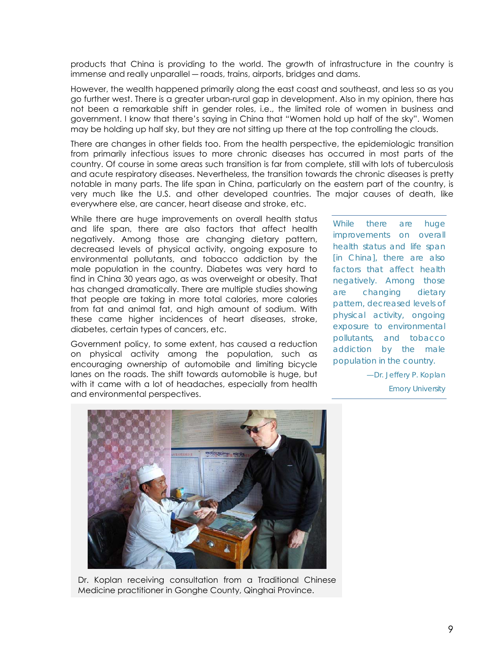products that China is providing to the world. The growth of infrastructure in the country is immense and really unparallel ― roads, trains, airports, bridges and dams.

 However, the wealth happened primarily along the east coast and southeast, and less so as you go further west. There is a greater urban-rural gap in development. Also in my opinion, there has not been a remarkable shift in gender roles, i.e., the limited role of women in business and government. I know that there's saying in China that "Women hold up half of the sky". Women may be holding up half sky, but they are not sitting up there at the top controlling the clouds.

 There are changes in other fields too. From the health perspective, the epidemiologic transition from primarily infectious issues to more chronic diseases has occurred in most parts of the country. Of course in some areas such transition is far from complete, still with lots of tuberculosis and acute respiratory diseases. Nevertheless, the transition towards the chronic diseases is pretty notable in many parts. The life span in China, particularly on the eastern part of the country, is very much like the U.S. and other developed countries. The major causes of death, like everywhere else, are cancer, heart disease and stroke, etc.

While there are huge improvements on overall health status and life span, there are also factors that affect health negatively. Among those are changing dietary pattern, decreased levels of physical activity, ongoing exposure to environmental pollutants, and tobacco addiction by the male population in the country. Diabetes was very hard to find in China 30 years ago, as was overweight or obesity. That has changed dramatically. There are multiple studies showing that people are taking in more total calories, more calories from fat and animal fat, and high amount of sodium. With these came higher incidences of heart diseases, stroke, diabetes, certain types of cancers, etc.

Government policy, to some extent, has caused a reduction on physical activity among the population, such as encouraging ownership of automobile and limiting bicycle lanes on the roads. The shift towards automobile is huge, but with it came with a lot of headaches, especially from health and environmental perspectives.

*While there are huge improvements on overall health status and life span [in China], there are also factors that affect health negatively. Among those are changing dietary pattern, decreased levels of physical activity, ongoing exposure to environmental pollutants, and tobacco addiction by the male population in the country.* 

> *—Dr. Jeffery P. Koplan Emory University*



Dr. Koplan receiving consultation from a Traditional Chinese Medicine practitioner in Gonghe County, Qinghai Province.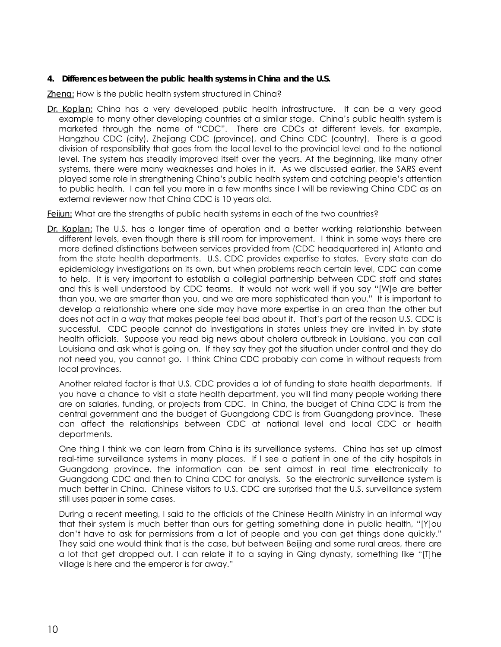## **4. Differences between the public health systems in China and the U.S.**

*Zheng:* How is the public health system structured in China?

*Dr. Koplan:* China has a very developed public health infrastructure. It can be a very good example to many other developing countries at a similar stage. China's public health system is marketed through the name of "CDC". There are CDCs at different levels, for example, Hangzhou CDC (city), Zhejiang CDC (province), and China CDC (country). There is a good division of responsibility that goes from the local level to the provincial level and to the national level. The system has steadily improved itself over the years. At the beginning, like many other systems, there were many weaknesses and holes in it. As we discussed earlier, the SARS event played some role in strengthening China's public health system and catching people's attention to public health. I can tell you more in a few months since I will be reviewing China CDC as an external reviewer now that China CDC is 10 years old.

*Feijun:* What are the strengths of public health systems in each of the two countries?

*Dr. Koplan:* The U.S. has a longer time of operation and a better working relationship between different levels, even though there is still room for improvement. I think in some ways there are more defined distinctions between services provided from (CDC headquartered in) Atlanta and from the state health departments. U.S. CDC provides expertise to states. Every state can do epidemiology investigations on its own, but when problems reach certain level, CDC can come to help. It is very important to establish a collegial partnership between CDC staff and states and this is well understood by CDC teams. It would not work well if you say "[W]e are better than you, we are smarter than you, and we are more sophisticated than you." It is important to develop a relationship where one side may have more expertise in an area than the other but does not act in a way that makes people feel bad about it. That's part of the reason U.S. CDC is successful. CDC people cannot do investigations in states unless they are invited in by state health officials. Suppose you read big news about cholera outbreak in Louisiana, you can call Louisiana and ask what is going on. If they say they got the situation under control and they do not need you, you cannot go. I think China CDC probably can come in without requests from local provinces.

Another related factor is that U.S. CDC provides a lot of funding to state health departments. If you have a chance to visit a state health department, you will find many people working there are on salaries, funding, or projects from CDC. In China, the budget of China CDC is from the central government and the budget of Guangdong CDC is from Guangdong province. These can affect the relationships between CDC at national level and local CDC or health departments.

One thing I think we can learn from China is its surveillance systems. China has set up almost real-time surveillance systems in many places. If I see a patient in one of the city hospitals in Guangdong province, the information can be sent almost in real time electronically to Guangdong CDC and then to China CDC for analysis. So the electronic surveillance system is much better in China. Chinese visitors to U.S. CDC are surprised that the U.S. surveillance system still uses paper in some cases.

During a recent meeting, I said to the officials of the Chinese Health Ministry in an informal way that their system is much better than ours for getting something done in public health, "[Y]ou don't have to ask for permissions from a lot of people and you can get things done quickly." They said one would think that is the case, but between Beijing and some rural areas, there are a lot that get dropped out. I can relate it to a saying in Qing dynasty, something like "[T]he village is here and the emperor is far away."